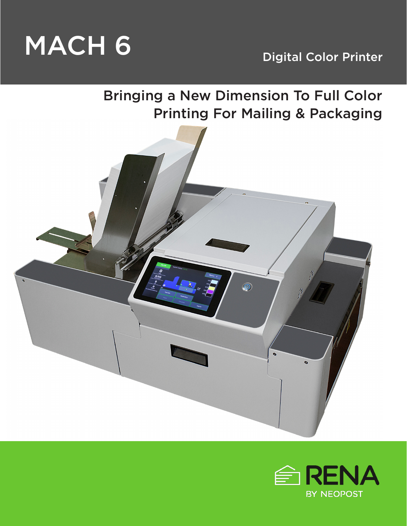

Bringing a New Dimension To Full Color Printing For Mailing & Packaging